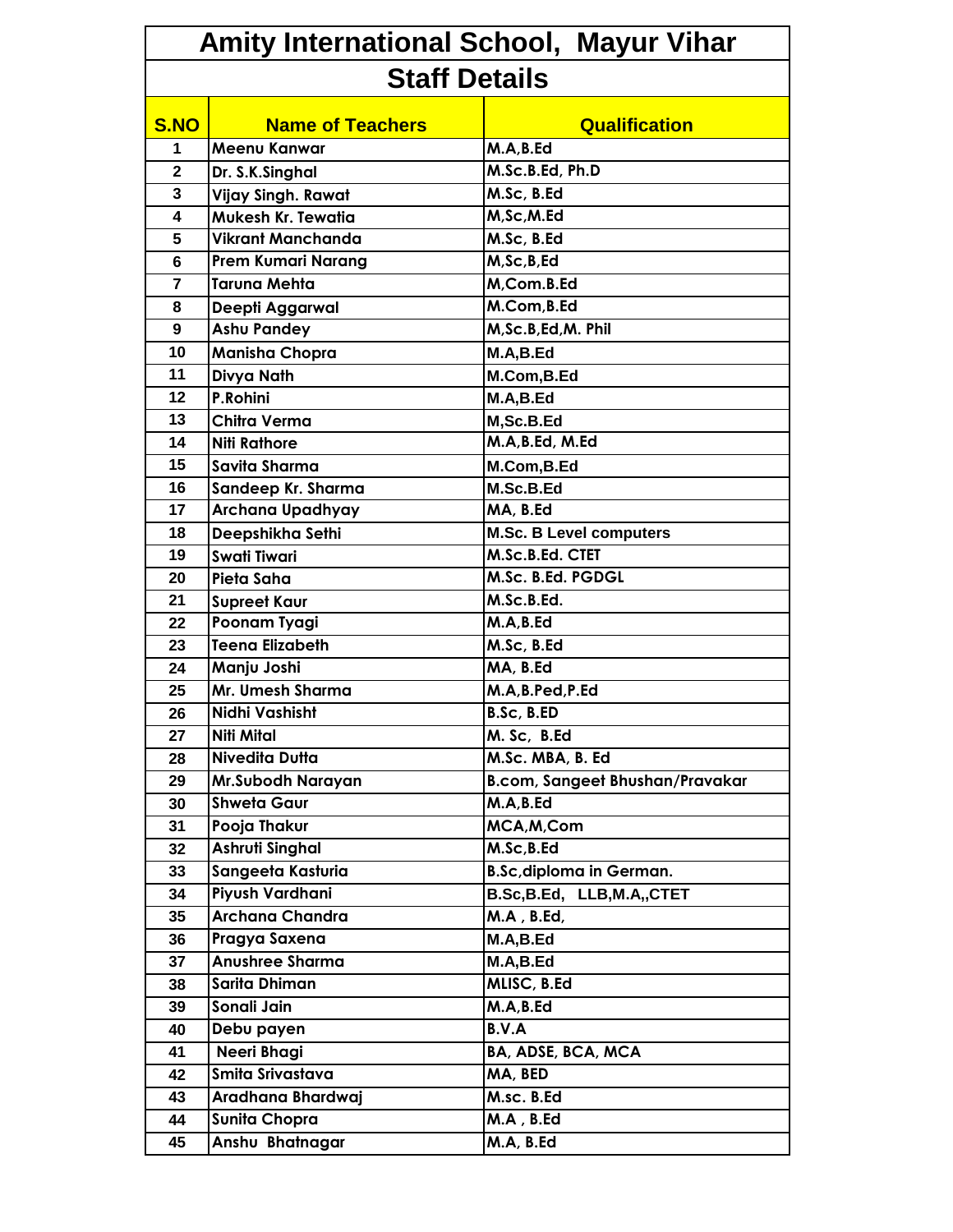| Amity International School, Mayur Vihar |                           |                                 |  |
|-----------------------------------------|---------------------------|---------------------------------|--|
| <b>Staff Details</b>                    |                           |                                 |  |
| <b>S.NO</b>                             | <b>Name of Teachers</b>   | <b>Qualification</b>            |  |
| 1                                       | Meenu Kanwar              | M.A, B.Ed                       |  |
| $\overline{2}$                          | Dr. S.K.Singhal           | M.Sc.B.Ed, Ph.D                 |  |
| 3                                       | Vijay Singh. Rawat        | M.Sc, B.Ed                      |  |
| 4                                       | Mukesh Kr. Tewatia        | M,Sc,M.Ed                       |  |
| 5                                       | <b>Vikrant Manchanda</b>  | M.Sc, B.Ed                      |  |
| 6                                       | <b>Prem Kumari Narang</b> | M,Sc,B,Ed                       |  |
| $\overline{7}$                          | <b>Taruna Mehta</b>       | M,Com.B.Ed                      |  |
| 8                                       | Deepti Aggarwal           | M.Com, B.Ed                     |  |
| 9                                       | <b>Ashu Pandey</b>        | M, Sc.B, Ed, M. Phil            |  |
| 10                                      | <b>Manisha Chopra</b>     | M.A,B.Ed                        |  |
| 11                                      | Divya Nath                | M.Com, B.Ed                     |  |
| 12                                      | P.Rohini                  | M.A,B.Ed                        |  |
| 13                                      | Chitra Verma              | M,Sc.B.Ed                       |  |
| 14                                      | <b>Niti Rathore</b>       | M.A, B.Ed, M.Ed                 |  |
| 15                                      | Savita Sharma             | M.Com, B.Ed                     |  |
| 16                                      | Sandeep Kr. Sharma        | M.Sc.B.Ed                       |  |
| 17                                      | Archana Upadhyay          | MA, B.Ed                        |  |
| 18                                      | Deepshikha Sethi          | <b>M.Sc. B Level computers</b>  |  |
| 19                                      | <b>Swati Tiwari</b>       | M.Sc.B.Ed. CTET                 |  |
| 20                                      | Pieta Saha                | M.Sc. B.Ed. PGDGL               |  |
| 21                                      | <b>Supreet Kaur</b>       | M.Sc.B.Ed.                      |  |
| 22                                      | Poonam Tyagi              | M.A, B.Ed                       |  |
| 23                                      | Teena Elizabeth           | M.Sc, B.Ed                      |  |
| 24                                      | Manju Joshi               | MA, B.Ed                        |  |
| 25                                      | Mr. Umesh Sharma          | M.A, B.Ped, P.Ed                |  |
| 26                                      | Nidhi Vashisht            | B.Sc, B.ED                      |  |
| 27                                      | <b>Niti Mital</b>         | M. Sc, B.Ed                     |  |
| 28                                      | <b>Nivedita Dutta</b>     | M.Sc. MBA, B. Ed                |  |
| 29                                      | Mr.Subodh Narayan         | B.com, Sangeet Bhushan/Pravakar |  |
| 30                                      | <b>Shweta Gaur</b>        | M.A, B.Ed                       |  |
| 31                                      | Pooja Thakur              | MCA, M, Com                     |  |
| 32                                      | Ashruti Singhal           | M.Sc, B.Ed                      |  |
| 33                                      | Sangeeta Kasturia         | <b>B.Sc, diploma in German.</b> |  |
| 34                                      | Piyush Vardhani           | B.Sc, B.Ed, LLB, M.A,, CTET     |  |
| 35                                      | <b>Archana Chandra</b>    | M.A, B.Ed,                      |  |
| 36                                      | Pragya Saxena             | M.A,B.Ed                        |  |
| 37                                      | <b>Anushree Sharma</b>    | M.A,B.Ed                        |  |
| 38                                      | Sarita Dhiman             | MLISC, B.Ed                     |  |
| 39                                      | Sonali Jain               | M.A, B.Ed                       |  |
| 40                                      | Debu payen                | B.V.A                           |  |
| 41                                      | Neeri Bhagi               | BA, ADSE, BCA, MCA              |  |
| 42                                      | Smita Srivastava          | MA, BED                         |  |
| 43                                      | Aradhana Bhardwaj         | M.sc. B.Ed                      |  |
| 44                                      | <b>Sunita Chopra</b>      | M.A, B.Ed                       |  |
| 45                                      | Anshu Bhatnagar           | M.A, B.Ed                       |  |